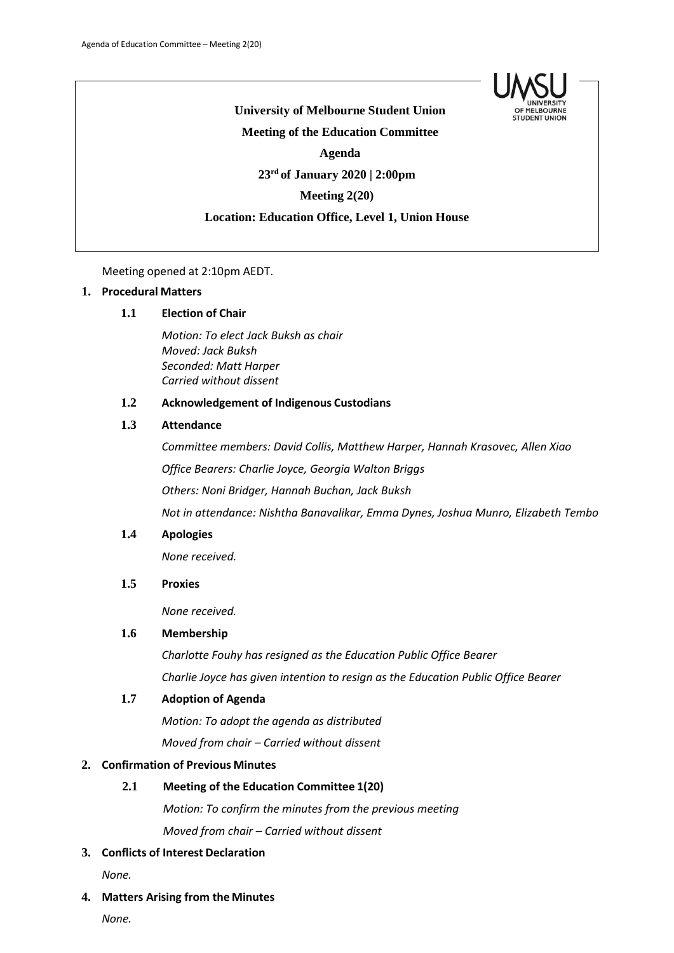

**University of Melbourne Student Union Meeting of the Education Committee Agenda 23rd of January 2020 | 2:00pm Meeting 2(20)**

## **Location: Education Office, Level 1, Union House**

Meeting opened at 2:10pm AEDT.

### **1. Procedural Matters**

### **1.1 Election of Chair**

*Motion: To elect Jack Buksh as chair Moved: Jack Buksh Seconded: Matt Harper Carried without dissent*

### **1.2 Acknowledgement of Indigenous Custodians**

## **1.3 Attendance**

*Committee members: David Collis, Matthew Harper, Hannah Krasovec, Allen Xiao Office Bearers: Charlie Joyce, Georgia Walton Briggs Others: Noni Bridger, Hannah Buchan, Jack Buksh Not in attendance: Nishtha Banavalikar, Emma Dynes, Joshua Munro, Elizabeth Tembo*

#### **1.4 Apologies**

*None received.*

# **1.5 Proxies**

*None received.*

# **1.6 Membership**

*Charlotte Fouhy has resigned as the Education Public Office Bearer Charlie Joyce has given intention to resign as the Education Public Office Bearer*

### **1.7 Adoption of Agenda**

*Motion: To adopt the agenda as distributed Moved from chair – Carried without dissent*

### **2. Confirmation of Previous Minutes**

### **2.1 Meeting of the Education Committee 1(20)**

*Motion: To confirm the minutes from the previous meeting*

*Moved from chair – Carried without dissent*

# **3. Conflicts of Interest Declaration**

*None.*

#### **4. Matters Arising from the Minutes**

*None.*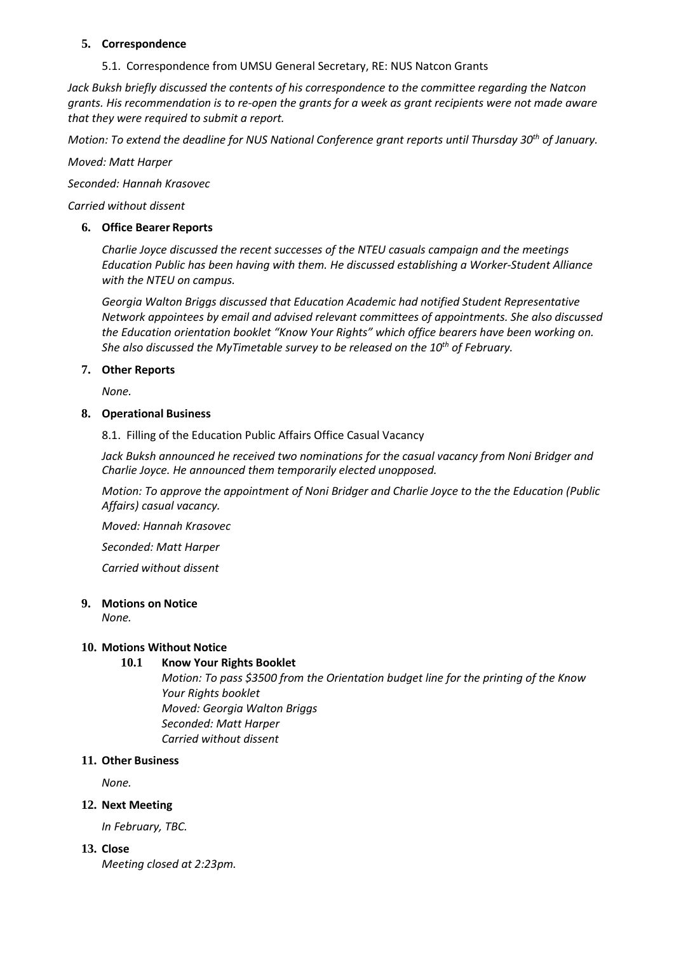## **5. Correspondence**

5.1. Correspondence from UMSU General Secretary, RE: NUS Natcon Grants

*Jack Buksh briefly discussed the contents of his correspondence to the committee regarding the Natcon grants. His recommendation is to re-open the grants for a week as grant recipients were not made aware that they were required to submit a report.*

*Motion: To extend the deadline for NUS National Conference grant reports until Thursday 30th of January.*

*Moved: Matt Harper*

*Seconded: Hannah Krasovec*

*Carried without dissent*

# **6. Office Bearer Reports**

*Charlie Joyce discussed the recent successes of the NTEU casuals campaign and the meetings Education Public has been having with them. He discussed establishing a Worker-Student Alliance with the NTEU on campus.*

*Georgia Walton Briggs discussed that Education Academic had notified Student Representative Network appointees by email and advised relevant committees of appointments. She also discussed the Education orientation booklet "Know Your Rights" which office bearers have been working on. She also discussed the MyTimetable survey to be released on the 10<sup>th</sup> of February.* 

# **7. Other Reports**

*None.*

### **8. Operational Business**

8.1. Filling of the Education Public Affairs Office Casual Vacancy

Jack Buksh announced he received two nominations for the casual vacancy from Noni Bridger and *Charlie Joyce. He announced them temporarily elected unopposed.*

*Motion: To approve the appointment of Noni Bridger and Charlie Joyce to the the Education (Public Affairs) casual vacancy.*

*Moved: Hannah Krasovec*

*Seconded: Matt Harper*

*Carried without dissent*

### **9. Motions on Notice**

*None.*

# **10. Motions Without Notice**

# **10.1 Know Your Rights Booklet**

*Motion: To pass \$3500 from the Orientation budget line for the printing of the Know Your Rights booklet Moved: Georgia Walton Briggs Seconded: Matt Harper Carried without dissent*

# **11. Other Business**

*None.*

# **12. Next Meeting**

*In February, TBC.*

**13. Close**

*Meeting closed at 2:23pm.*